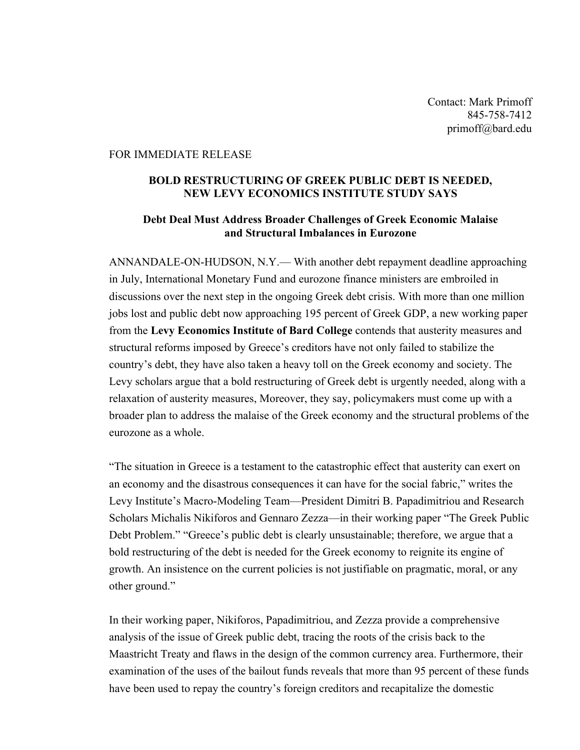Contact: Mark Primoff 845-758-7412 primoff@bard.edu

## FOR IMMEDIATE RELEASE

## **BOLD RESTRUCTURING OF GREEK PUBLIC DEBT IS NEEDED, NEW LEVY ECONOMICS INSTITUTE STUDY SAYS**

## **Debt Deal Must Address Broader Challenges of Greek Economic Malaise and Structural Imbalances in Eurozone**

ANNANDALE-ON-HUDSON, N.Y.— With another debt repayment deadline approaching in July, International Monetary Fund and eurozone finance ministers are embroiled in discussions over the next step in the ongoing Greek debt crisis. With more than one million jobs lost and public debt now approaching 195 percent of Greek GDP, a new working paper from the **Levy Economics Institute of Bard College** contends that austerity measures and structural reforms imposed by Greece's creditors have not only failed to stabilize the country's debt, they have also taken a heavy toll on the Greek economy and society. The Levy scholars argue that a bold restructuring of Greek debt is urgently needed, along with a relaxation of austerity measures, Moreover, they say, policymakers must come up with a broader plan to address the malaise of the Greek economy and the structural problems of the eurozone as a whole.

"The situation in Greece is a testament to the catastrophic effect that austerity can exert on an economy and the disastrous consequences it can have for the social fabric," writes the Levy Institute's Macro-Modeling Team—President Dimitri B. Papadimitriou and Research Scholars Michalis Nikiforos and Gennaro Zezza—in their working paper "The Greek Public Debt Problem." "Greece's public debt is clearly unsustainable; therefore, we argue that a bold restructuring of the debt is needed for the Greek economy to reignite its engine of growth. An insistence on the current policies is not justifiable on pragmatic, moral, or any other ground."

In their working paper, Nikiforos, Papadimitriou, and Zezza provide a comprehensive analysis of the issue of Greek public debt, tracing the roots of the crisis back to the Maastricht Treaty and flaws in the design of the common currency area. Furthermore, their examination of the uses of the bailout funds reveals that more than 95 percent of these funds have been used to repay the country's foreign creditors and recapitalize the domestic